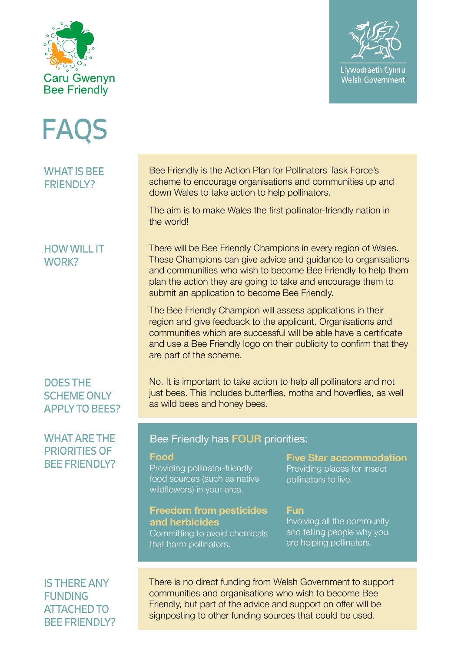



FAQS

WHAT IS BEE FRIENDLY?

## HOW WILL IT WORK?

DOES THE SCHEME ONLY APPLY TO BEES?

## WHAT ARE THE PRIORITIES OF BEE FRIENDLY?

IS THERE ANY FUNDING ATTACHED TO BEE FRIENDLY? Bee Friendly is the Action Plan for Pollinators Task Force's scheme to encourage organisations and communities up and down Wales to take action to help pollinators.

The aim is to make Wales the first pollinator-friendly nation in the world!

There will be Bee Friendly Champions in every region of Wales. These Champions can give advice and guidance to organisations and communities who wish to become Bee Friendly to help them plan the action they are going to take and encourage them to submit an application to become Bee Friendly.

The Bee Friendly Champion will assess applications in their region and give feedback to the applicant. Organisations and communities which are successful will be able have a certificate and use a Bee Friendly logo on their publicity to confirm that they are part of the scheme.

No. It is important to take action to help all pollinators and not just bees. This includes butterflies, moths and hoverflies, as well as wild bees and honey bees.

### Bee Friendly has FOUR priorities:

#### **Food**

Providing pollinator-friendly food sources (such as native wildflowers) in your area.

#### **Freedom from pesticides and herbicides**

Committing to avoid chemicals that harm pollinators.

# **Five Star accommodation** Providing places for insect

pollinators to live.

### **Fun**

Involving all the community and telling people why you are helping pollinators.

There is no direct funding from Welsh Government to support communities and organisations who wish to become Bee Friendly, but part of the advice and support on offer will be signposting to other funding sources that could be used.